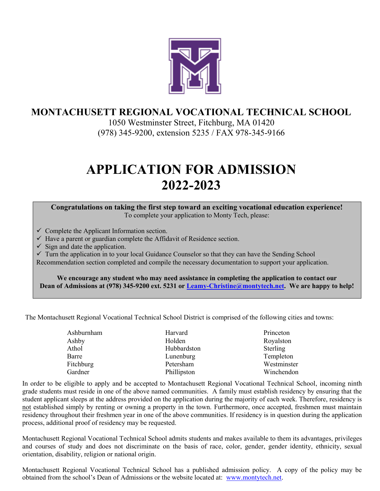

## **MONTACHUSETT REGIONAL VOCATIONAL TECHNICAL SCHOOL**

1050 Westminster Street, Fitchburg, MA 01420 (978) 345-9200, extension 5235 / FAX 978-345-9166

# **APPLICATION FOR ADMISSION 2022-2023**

#### **Congratulations on taking the first step toward an exciting vocational education experience!** To complete your application to Monty Tech, please:

- $\checkmark$  Complete the Applicant Information section.
- $\checkmark$  Have a parent or guardian complete the Affidavit of Residence section.
- $\checkmark$  Sign and date the application.

 $\checkmark$  Turn the application in to your local Guidance Counselor so that they can have the Sending School Recommendation section completed and compile the necessary documentation to support your application.

**We encourage any student who may need assistance in completing the application to contact our Dean of Admissions at (978) 345-9200 ext. 5231 or [Leamy-Christine@montytech.net.](mailto:Leamy-Christine@montytech.net) We are happy to help!**

The Montachusett Regional Vocational Technical School District is comprised of the following cities and towns:

| Ashburnham | Harvard     | Princeton   |
|------------|-------------|-------------|
| Ashby      | Holden      | Royalston   |
| Athol      | Hubbardston | Sterling    |
| Barre      | Lunenburg   | Templeton   |
| Fitchburg  | Petersham   | Westminster |
| Gardner    | Phillipston | Winchendon  |

In order to be eligible to apply and be accepted to Montachusett Regional Vocational Technical School, incoming ninth grade students must reside in one of the above named communities. A family must establish residency by ensuring that the student applicant sleeps at the address provided on the application during the majority of each week. Therefore, residency is not established simply by renting or owning a property in the town. Furthermore, once accepted, freshmen must maintain residency throughout their freshmen year in one of the above communities. If residency is in question during the application process, additional proof of residency may be requested.

Montachusett Regional Vocational Technical School admits students and makes available to them its advantages, privileges and courses of study and does not discriminate on the basis of race, color, gender, gender identity, ethnicity, sexual orientation, disability, religion or national origin.

Montachusett Regional Vocational Technical School has a published admission policy. A copy of the policy may be obtained from the school's Dean of Admissions or the website located at: [www.montytech.net.](http://www.montytech.net/)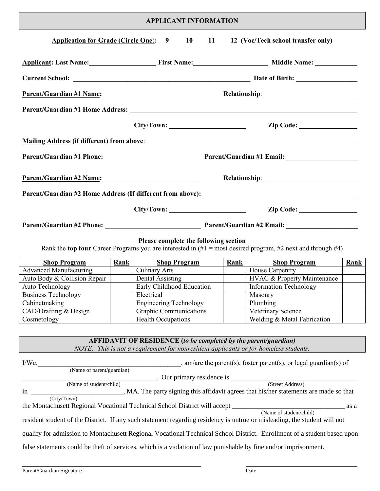### **APPLICANT INFORMATION**

| <b>Application for Grade (Circle One): 9</b>                            |                          | <b>10</b>                                                                                                                                               | 11          | 12 (Voc/Tech school transfer only)                                                                                        |      |
|-------------------------------------------------------------------------|--------------------------|---------------------------------------------------------------------------------------------------------------------------------------------------------|-------------|---------------------------------------------------------------------------------------------------------------------------|------|
| Applicant: Last Name: First Name: First Name: Middle Name: Middle Name: |                          |                                                                                                                                                         |             |                                                                                                                           |      |
|                                                                         |                          |                                                                                                                                                         |             |                                                                                                                           |      |
|                                                                         | Parent/Guardian #1 Name: |                                                                                                                                                         |             |                                                                                                                           |      |
|                                                                         |                          |                                                                                                                                                         |             |                                                                                                                           |      |
|                                                                         |                          |                                                                                                                                                         |             |                                                                                                                           |      |
|                                                                         |                          |                                                                                                                                                         |             |                                                                                                                           |      |
|                                                                         |                          |                                                                                                                                                         |             |                                                                                                                           |      |
|                                                                         |                          |                                                                                                                                                         |             |                                                                                                                           |      |
|                                                                         |                          |                                                                                                                                                         |             | Parent/Guardian #2 Home Address (If different from above):                                                                |      |
|                                                                         |                          |                                                                                                                                                         |             |                                                                                                                           |      |
|                                                                         |                          |                                                                                                                                                         |             |                                                                                                                           |      |
|                                                                         |                          |                                                                                                                                                         |             |                                                                                                                           |      |
|                                                                         |                          | Please complete the following section                                                                                                                   |             | Rank the top four Career Programs you are interested in $(H)$ = most desired program, #2 next and through #4)             |      |
|                                                                         |                          |                                                                                                                                                         |             |                                                                                                                           | Rank |
| <b>Shop Program</b><br><b>Advanced Manufacturing</b>                    | <b>Rank</b>              | <b>Shop Program</b>                                                                                                                                     | <b>Rank</b> | <b>Shop Program</b><br>House Carpentry                                                                                    |      |
| Auto Body & Collision Repair                                            |                          | Culinary Arts<br>Dental Assisting                                                                                                                       |             | <b>HVAC &amp; Property Maintenance</b>                                                                                    |      |
| Auto Technology                                                         |                          | Early Childhood Education                                                                                                                               |             | <b>Information Technology</b>                                                                                             |      |
| <b>Business Technology</b>                                              |                          | Electrical                                                                                                                                              |             | Masonry                                                                                                                   |      |
| Cabinet making                                                          |                          | <b>Engineering Technology</b>                                                                                                                           |             | Plumbing                                                                                                                  |      |
| CAD/Drafting & Design                                                   |                          | Graphic Communications                                                                                                                                  |             | Veterinary Science                                                                                                        |      |
| Cosmetology                                                             |                          | Health Occupations                                                                                                                                      |             | Welding & Metal Fabrication                                                                                               |      |
|                                                                         |                          | AFFIDAVIT OF RESIDENCE (to be completed by the parent/guardian)<br>NOTE: This is not a requirement for nonresident applicants or for homeless students. |             |                                                                                                                           |      |
| $I/We$ ,                                                                |                          | (Name of parent/guardian)                                                                                                                               |             | , am/are the parent(s), foster parent(s), or legal guardian(s) of                                                         |      |
|                                                                         |                          |                                                                                                                                                         |             |                                                                                                                           |      |
| (Name of student/child)                                                 |                          |                                                                                                                                                         |             |                                                                                                                           |      |
| $\mathbf{n}$                                                            |                          |                                                                                                                                                         |             | MA. The party signing this affidavit agrees that his/her statements are made so that                                      |      |
| (City/Town)                                                             |                          |                                                                                                                                                         |             |                                                                                                                           | as a |
|                                                                         |                          |                                                                                                                                                         |             | resident student of the District. If any such statement regarding residency is untrue or misleading, the student will not |      |

false statements could be theft of services, which is a violation of law punishable by fine and/or imprisonment.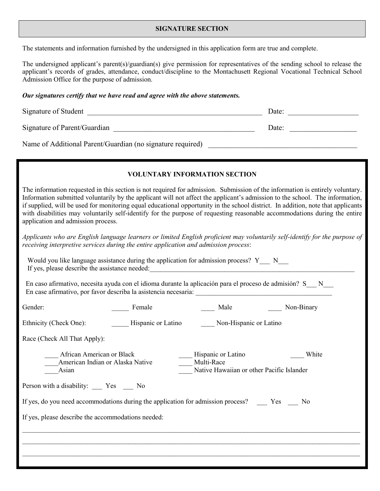#### **SIGNATURE SECTION**

The statements and information furnished by the undersigned in this application form are true and complete.

The undersigned applicant's parent(s)/guardian(s) give permission for representatives of the sending school to release the applicant's records of grades, attendance, conduct/discipline to the Montachusett Regional Vocational Technical School Admission Office for the purpose of admission.

#### *Our signatures certify that we have read and agree with the above statements.*

|                                                    | Our signatures certify that we have read and agree with the above statements.                                                                                                                                                                                                                  |                                                                               |                                                                                                                                                                                                                                                                                                                                                                                                                                                                                                                                |
|----------------------------------------------------|------------------------------------------------------------------------------------------------------------------------------------------------------------------------------------------------------------------------------------------------------------------------------------------------|-------------------------------------------------------------------------------|--------------------------------------------------------------------------------------------------------------------------------------------------------------------------------------------------------------------------------------------------------------------------------------------------------------------------------------------------------------------------------------------------------------------------------------------------------------------------------------------------------------------------------|
|                                                    |                                                                                                                                                                                                                                                                                                |                                                                               | Date:<br><u> 1990 - Johann Barn, mars ann an t-</u>                                                                                                                                                                                                                                                                                                                                                                                                                                                                            |
|                                                    |                                                                                                                                                                                                                                                                                                |                                                                               | Date:                                                                                                                                                                                                                                                                                                                                                                                                                                                                                                                          |
|                                                    |                                                                                                                                                                                                                                                                                                |                                                                               |                                                                                                                                                                                                                                                                                                                                                                                                                                                                                                                                |
|                                                    |                                                                                                                                                                                                                                                                                                | <b>VOLUNTARY INFORMATION SECTION</b>                                          |                                                                                                                                                                                                                                                                                                                                                                                                                                                                                                                                |
| application and admission process.                 |                                                                                                                                                                                                                                                                                                |                                                                               | The information requested in this section is not required for admission. Submission of the information is entirely voluntary.<br>Information submitted voluntarily by the applicant will not affect the applicant's admission to the school. The information,<br>if supplied, will be used for monitoring equal educational opportunity in the school district. In addition, note that applicants<br>with disabilities may voluntarily self-identify for the purpose of requesting reasonable accommodations during the entire |
| If yes, please describe the assistance needed:     | receiving interpretive services during the entire application and admission process:<br>Would you like language assistance during the application for admission process? Y__ N__<br>En caso afirmativo, necesita ayuda con el idioma durante la aplicación para el proceso de admisión? S__N__ | <u> 1980 - Johann John Stein, mars an deus Amerikaansk kommunister (</u>      | Applicants who are English language learners or limited English proficient may voluntarily self-identify for the purpose of                                                                                                                                                                                                                                                                                                                                                                                                    |
| Gender:                                            | Female                                                                                                                                                                                                                                                                                         |                                                                               | Male Mon-Binary                                                                                                                                                                                                                                                                                                                                                                                                                                                                                                                |
| Ethnicity (Check One):                             | Hispanic or Latino                                                                                                                                                                                                                                                                             | Non-Hispanic or Latino                                                        |                                                                                                                                                                                                                                                                                                                                                                                                                                                                                                                                |
| Race (Check All That Apply):                       |                                                                                                                                                                                                                                                                                                |                                                                               |                                                                                                                                                                                                                                                                                                                                                                                                                                                                                                                                |
| Asian                                              | African American or Black<br>American Indian or Alaska Native                                                                                                                                                                                                                                  | Hispanic or Latino<br>Multi-Race<br>Native Hawaiian or other Pacific Islander | White                                                                                                                                                                                                                                                                                                                                                                                                                                                                                                                          |
| Person with a disability: _____ Yes _____ No       |                                                                                                                                                                                                                                                                                                |                                                                               |                                                                                                                                                                                                                                                                                                                                                                                                                                                                                                                                |
|                                                    | If yes, do you need accommodations during the application for admission process? _____ Yes ____ No                                                                                                                                                                                             |                                                                               |                                                                                                                                                                                                                                                                                                                                                                                                                                                                                                                                |
| If yes, please describe the accommodations needed: |                                                                                                                                                                                                                                                                                                |                                                                               |                                                                                                                                                                                                                                                                                                                                                                                                                                                                                                                                |
|                                                    |                                                                                                                                                                                                                                                                                                |                                                                               |                                                                                                                                                                                                                                                                                                                                                                                                                                                                                                                                |

 $\mathcal{L}_\mathcal{L} = \mathcal{L}_\mathcal{L} = \mathcal{L}_\mathcal{L} = \mathcal{L}_\mathcal{L} = \mathcal{L}_\mathcal{L} = \mathcal{L}_\mathcal{L} = \mathcal{L}_\mathcal{L} = \mathcal{L}_\mathcal{L} = \mathcal{L}_\mathcal{L} = \mathcal{L}_\mathcal{L} = \mathcal{L}_\mathcal{L} = \mathcal{L}_\mathcal{L} = \mathcal{L}_\mathcal{L} = \mathcal{L}_\mathcal{L} = \mathcal{L}_\mathcal{L} = \mathcal{L}_\mathcal{L} = \mathcal{L}_\mathcal{L}$  $\mathcal{L}_\mathcal{L} = \mathcal{L}_\mathcal{L} = \mathcal{L}_\mathcal{L} = \mathcal{L}_\mathcal{L} = \mathcal{L}_\mathcal{L} = \mathcal{L}_\mathcal{L} = \mathcal{L}_\mathcal{L} = \mathcal{L}_\mathcal{L} = \mathcal{L}_\mathcal{L} = \mathcal{L}_\mathcal{L} = \mathcal{L}_\mathcal{L} = \mathcal{L}_\mathcal{L} = \mathcal{L}_\mathcal{L} = \mathcal{L}_\mathcal{L} = \mathcal{L}_\mathcal{L} = \mathcal{L}_\mathcal{L} = \mathcal{L}_\mathcal{L}$